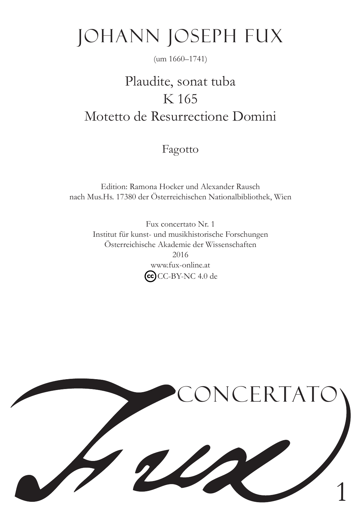# Johann Joseph Fux

### (um 1660–1741)

## Plaudite, sonat tuba K 165 Motetto de Resurrectione Domini

Fagotto

Edition: Ramona Hocker und Alexander Rausch nach Mus.Hs. 17380 der Österreichischen Nationalbibliothek, Wien

> Fux concertato Nr. 1 Institut für kunst- und musikhistorische Forschungen Österreichische Akademie der Wissenschaften 2016 www.fux-online.at  $\left(\overline{\text{cc}}\right)$ CC-BY-NC 4.0 de

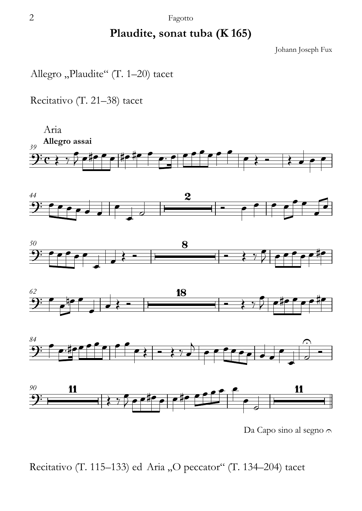#### 2 Fagotto

### **Plaudite, sonat tuba (K 165)**

Johann Joseph Fux

Allegro "Plaudite" (T. 1-20) tacet

Recitativo (T. 21–38) tacet



Da Capo sino al segno  $\cap$ 

Recitativo (T. 115–133) ed Aria "O peccator" (T. 134–204) tacet